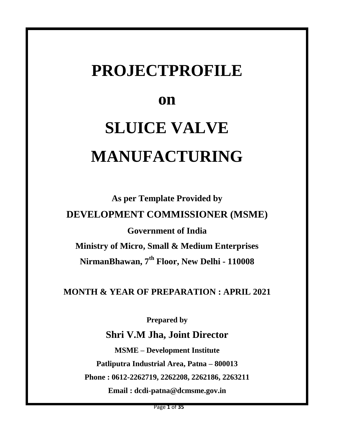## **PROJECTPROFILE**

## **on**

# **SLUICE VALVE MANUFACTURING**

**As per Template Provided by DEVELOPMENT COMMISSIONER (MSME) Government of India Ministry of Micro, Small & Medium Enterprises NirmanBhawan, 7th Floor, New Delhi - 110008**

**MONTH & YEAR OF PREPARATION : APRIL 2021**

**Prepared by**

**Shri V.M Jha, Joint Director**

**MSME – Development Institute Patliputra Industrial Area, Patna – 800013 Phone : 0612-2262719, 2262208, 2262186, 2263211 Email : dcdi-patna@dcmsme.gov.in**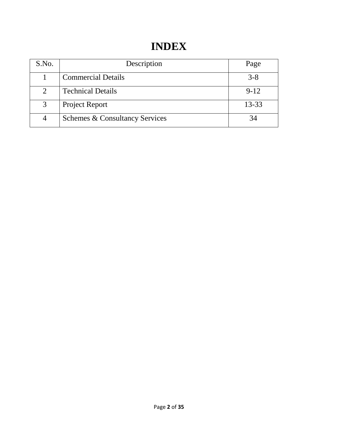## **INDEX**

| S.No.          | Description                               | Page      |
|----------------|-------------------------------------------|-----------|
|                | <b>Commercial Details</b>                 | $3 - 8$   |
| $\overline{2}$ | <b>Technical Details</b>                  | $9 - 12$  |
| 3              | <b>Project Report</b>                     | $13 - 33$ |
|                | <b>Schemes &amp; Consultancy Services</b> |           |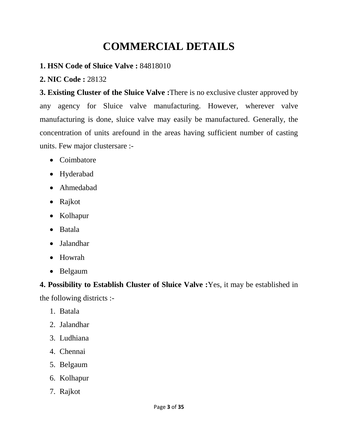## **COMMERCIAL DETAILS**

#### **1. HSN Code of Sluice Valve :** 84818010

#### **2. NIC Code :** 28132

**3. Existing Cluster of the Sluice Valve :**There is no exclusive cluster approved by any agency for Sluice valve manufacturing. However, wherever valve manufacturing is done, sluice valve may easily be manufactured. Generally, the concentration of units arefound in the areas having sufficient number of casting units. Few major clustersare :-

- Coimbatore
- Hyderabad
- Ahmedabad
- Rajkot
- Kolhapur
- Batala
- Jalandhar
- Howrah
- Belgaum

#### **4. Possibility to Establish Cluster of Sluice Valve :**Yes, it may be established in

the following districts :-

- 1. Batala
- 2. Jalandhar
- 3. Ludhiana
- 4. Chennai
- 5. Belgaum
- 6. Kolhapur
- 7. Rajkot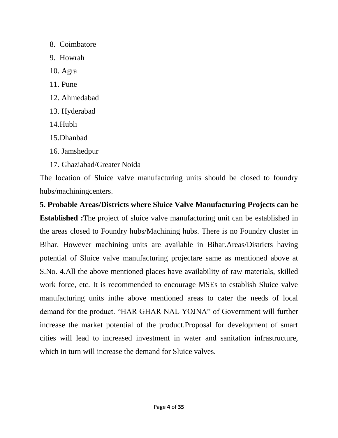- 8. Coimbatore
- 9. Howrah
- 10. Agra
- 11. Pune
- 12. Ahmedabad
- 13. Hyderabad
- 14.Hubli
- 15.Dhanbad
- 16. Jamshedpur
- 17. Ghaziabad/Greater Noida

The location of Sluice valve manufacturing units should be closed to foundry hubs/machiningcenters.

**5. Probable Areas/Districts where Sluice Valve Manufacturing Projects can be Established :**The project of sluice valve manufacturing unit can be established in the areas closed to Foundry hubs/Machining hubs. There is no Foundry cluster in Bihar. However machining units are available in Bihar.Areas/Districts having potential of Sluice valve manufacturing projectare same as mentioned above at S.No. 4.All the above mentioned places have availability of raw materials, skilled work force, etc. It is recommended to encourage MSEs to establish Sluice valve manufacturing units inthe above mentioned areas to cater the needs of local demand for the product. "HAR GHAR NAL YOJNA" of Government will further increase the market potential of the product.Proposal for development of smart cities will lead to increased investment in water and sanitation infrastructure, which in turn will increase the demand for Sluice valves.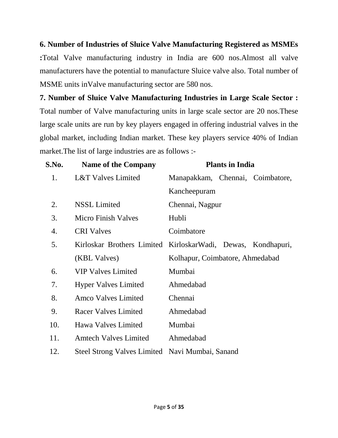**6. Number of Industries of Sluice Valve Manufacturing Registered as MSMEs :**Total Valve manufacturing industry in India are 600 nos.Almost all valve manufacturers have the potential to manufacture Sluice valve also. Total number of MSME units inValve manufacturing sector are 580 nos.

**7. Number of Sluice Valve Manufacturing Industries in Large Scale Sector :** Total number of Valve manufacturing units in large scale sector are 20 nos.These large scale units are run by key players engaged in offering industrial valves in the global market, including Indian market. These key players service 40% of Indian market.The list of large industries are as follows :-

| S.No. | <b>Name of the Company</b>                      | <b>Plants in India</b>                                       |
|-------|-------------------------------------------------|--------------------------------------------------------------|
| 1.    | L&T Valves Limited                              | Manapakkam, Chennai, Coimbatore,                             |
|       |                                                 | Kancheepuram                                                 |
| 2.    | <b>NSSL Limited</b>                             | Chennai, Nagpur                                              |
| 3.    | <b>Micro Finish Valves</b>                      | Hubli                                                        |
| 4.    | <b>CRI</b> Valves                               | Coimbatore                                                   |
| 5.    |                                                 | Kirloskar Brothers Limited KirloskarWadi, Dewas, Kondhapuri, |
|       | (KBL Valves)                                    | Kolhapur, Coimbatore, Ahmedabad                              |
| 6.    | <b>VIP Valves Limited</b>                       | Mumbai                                                       |
| 7.    | <b>Hyper Valves Limited</b>                     | Ahmedabad                                                    |
| 8.    | Amco Valves Limited                             | Chennai                                                      |
| 9.    | <b>Racer Valves Limited</b>                     | Ahmedabad                                                    |
| 10.   | Hawa Valves Limited                             | Mumbai                                                       |
| 11.   | <b>Amtech Valves Limited</b>                    | Ahmedabad                                                    |
| 12.   | Steel Strong Valves Limited Navi Mumbai, Sanand |                                                              |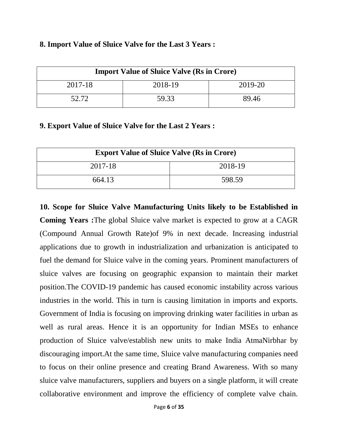| <b>Import Value of Sluice Valve (Rs in Crore)</b> |         |         |  |  |  |
|---------------------------------------------------|---------|---------|--|--|--|
| 2017-18                                           | 2018-19 | 2019-20 |  |  |  |
| 52.72                                             | 59.33   | 89.46   |  |  |  |

#### **8. Import Value of Sluice Valve for the Last 3 Years :**

#### **9. Export Value of Sluice Valve for the Last 2 Years :**

| <b>Export Value of Sluice Valve (Rs in Crore)</b> |        |  |  |  |
|---------------------------------------------------|--------|--|--|--|
| 2018-19<br>2017-18                                |        |  |  |  |
| 664.13                                            | 598.59 |  |  |  |

**10. Scope for Sluice Valve Manufacturing Units likely to be Established in Coming Years :**The global Sluice valve market is expected to grow at a CAGR (Compound Annual Growth Rate)of 9% in next decade. Increasing industrial applications due to growth in industrialization and urbanization is anticipated to fuel the demand for Sluice valve in the coming years. Prominent manufacturers of sluice valves are focusing on geographic expansion to maintain their market position.The COVID-19 pandemic has caused economic instability across various industries in the world. This in turn is causing limitation in imports and exports. Government of India is focusing on improving drinking water facilities in urban as well as rural areas. Hence it is an opportunity for Indian MSEs to enhance production of Sluice valve/establish new units to make India AtmaNirbhar by discouraging import.At the same time, Sluice valve manufacturing companies need to focus on their online presence and creating Brand Awareness. With so many sluice valve manufacturers, suppliers and buyers on a single platform, it will create collaborative environment and improve the efficiency of complete valve chain.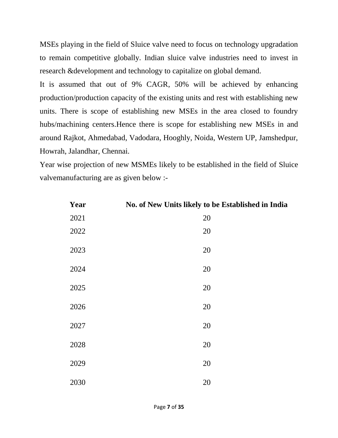MSEs playing in the field of Sluice valve need to focus on technology upgradation to remain competitive globally. Indian sluice valve industries need to invest in research &development and technology to capitalize on global demand.

It is assumed that out of 9% CAGR, 50% will be achieved by enhancing production/production capacity of the existing units and rest with establishing new units. There is scope of establishing new MSEs in the area closed to foundry hubs/machining centers.Hence there is scope for establishing new MSEs in and around Rajkot, Ahmedabad, Vadodara, Hooghly, Noida, Western UP, Jamshedpur, Howrah, Jalandhar, Chennai.

Year wise projection of new MSMEs likely to be established in the field of Sluice valvemanufacturing are as given below :-

| Year | No. of New Units likely to be Established in India |
|------|----------------------------------------------------|
| 2021 | 20                                                 |
| 2022 | 20                                                 |
| 2023 | 20                                                 |
| 2024 | 20                                                 |
| 2025 | 20                                                 |
| 2026 | 20                                                 |
| 2027 | 20                                                 |
| 2028 | 20                                                 |
| 2029 | 20                                                 |
| 2030 | 20                                                 |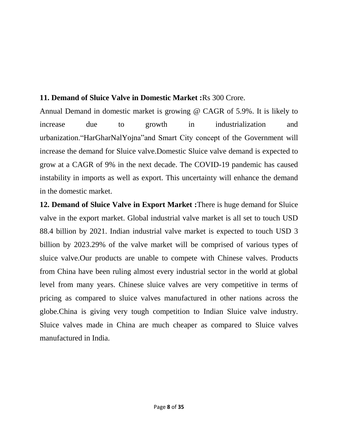#### **11. Demand of Sluice Valve in Domestic Market :**Rs 300 Crore.

Annual Demand in domestic market is growing @ CAGR of 5.9%. It is likely to increase due to growth in industrialization and urbanization."HarGharNalYojna"and Smart City concept of the Government will increase the demand for Sluice valve.Domestic Sluice valve demand is expected to grow at a CAGR of 9% in the next decade. The COVID-19 pandemic has caused instability in imports as well as export. This uncertainty will enhance the demand in the domestic market.

**12. Demand of Sluice Valve in Export Market :**There is huge demand for Sluice valve in the export market. Global industrial valve market is all set to touch USD 88.4 billion by 2021. Indian industrial valve market is expected to touch USD 3 billion by 2023.29% of the valve market will be comprised of various types of sluice valve.Our products are unable to compete with Chinese valves. Products from China have been ruling almost every industrial sector in the world at global level from many years. Chinese sluice valves are very competitive in terms of pricing as compared to sluice valves manufactured in other nations across the globe.China is giving very tough competition to Indian Sluice valve industry. Sluice valves made in China are much cheaper as compared to Sluice valves manufactured in India.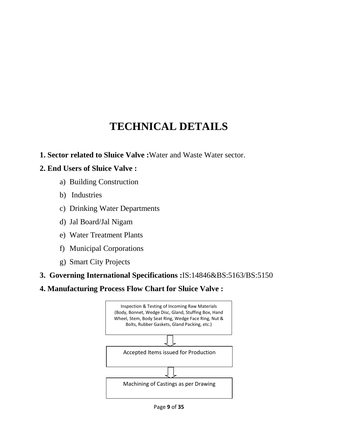## **TECHNICAL DETAILS**

#### **1. Sector related to Sluice Valve :**Water and Waste Water sector.

#### **2. End Users of Sluice Valve :**

- a) Building Construction
- b) Industries
- c) Drinking Water Departments
- d) Jal Board/Jal Nigam
- e) Water Treatment Plants
- f) Municipal Corporations
- g) Smart City Projects
- **3. Governing International Specifications :**IS:14846&BS:5163/BS:5150
- **4. Manufacturing Process Flow Chart for Sluice Valve :**



Page **9** of **35**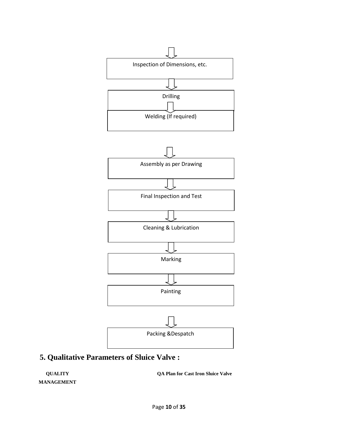

## **5. Qualitative Parameters of Sluice Valve :**

**QUALITY MANAGEMENT** **QA Plan for Cast Iron Sluice Valve**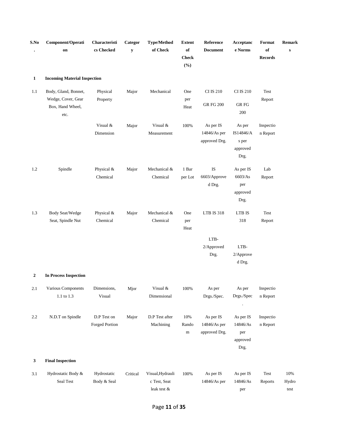| S.No         | Component/Operati<br>on                                                | Characteristi<br>cs Checked   | Categor<br>$\mathbf y$ | <b>Type/Method</b><br>of Check                  | <b>Extent</b><br>of<br><b>Check</b><br>(%) | Reference<br><b>Document</b>               | Acceptanc<br>e Norms                             | Format<br>of<br><b>Records</b> | Remark<br>${\bf S}$  |
|--------------|------------------------------------------------------------------------|-------------------------------|------------------------|-------------------------------------------------|--------------------------------------------|--------------------------------------------|--------------------------------------------------|--------------------------------|----------------------|
| $\mathbf{1}$ | <b>Incoming Material Inspection</b>                                    |                               |                        |                                                 |                                            |                                            |                                                  |                                |                      |
| 1.1          | Body, Gland, Bonnet,<br>Wedge, Cover, Gear<br>Box, Hand Wheel,<br>etc. | Physical<br>Property          | Major                  | Mechanical                                      | One<br>per<br>Heat                         | <b>CI IS 210</b><br><b>GR FG 200</b>       | <b>CI IS 210</b><br><b>GR FG</b><br>200          | Test<br>Report                 |                      |
|              |                                                                        | Visual &<br>Dimension         | Major                  | Visual &<br>Measurement                         | 100%                                       | As per IS<br>14846/As per<br>approved Drg. | As per<br>IS14846/A<br>s per<br>approved<br>Drg. | Inspectio<br>n Report          |                      |
| 1.2          | Spindle                                                                | Physical &<br>Chemical        | Major                  | Mechanical &<br>Chemical                        | 1 Bar<br>per Lot                           | IS<br>6603/Approve<br>d Drg.               | As per IS<br>6603/As<br>per<br>approved<br>Drg.  | Lab<br>Report                  |                      |
| 1.3          | Body Seat/Wedge<br>Seat, Spindle Nut                                   | Physical &<br>Chemical        | Major                  | Mechanical &<br>Chemical                        | One<br>per<br>Heat                         | <b>LTB IS 318</b>                          | LTB IS<br>318                                    | Test<br>Report                 |                      |
|              |                                                                        |                               |                        |                                                 |                                            | LTB-<br>2/Approved<br>Drg.                 | LTB-<br>2/Approve<br>d Drg.                      |                                |                      |
| 2            | <b>In Process Inspection</b>                                           |                               |                        |                                                 |                                            |                                            |                                                  |                                |                      |
| 2.1          | Various Components<br>1.1 to 1.3                                       | Dimensions,<br>Visual         | Mjor                   | Visual &<br>Dimensional                         | 100%                                       | As per<br>Drgs./Spec.                      | As per<br>Drgs./Spec                             | Inspectio<br>n Report          |                      |
| 2.2          | N.D.T on Spindle                                                       | D.P Test on<br>Forged Portion | Major                  | D.P Test after<br>Machining                     | 10%<br>Rando<br>${\rm m}$                  | As per IS<br>14846/As per<br>approved Drg. | As per IS<br>14846/As<br>per<br>approved<br>Drg. | Inspectio<br>n Report          |                      |
| $\mathbf{3}$ | <b>Final Inspection</b>                                                |                               |                        |                                                 |                                            |                                            |                                                  |                                |                      |
| 3.1          | Hydrostatic Body &<br>Seal Test                                        | Hydrostatic<br>Body & Seal    | Critical               | Visual, Hydrauli<br>c Test, Seat<br>leak test & | 100%                                       | As per IS<br>14846/As per                  | As per IS<br>14846/As<br>per                     | Test<br>Reports                | 10%<br>Hydro<br>test |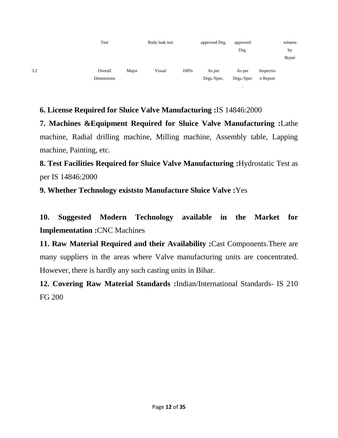

#### **6. License Required for Sluice Valve Manufacturing :**IS 14846:2000

**7. Machines &Equipment Required for Sluice Valve Manufacturing :**Lathe machine, Radial drilling machine, Milling machine, Assembly table, Lapping machine, Painting, etc.

**8. Test Facilities Required for Sluice Valve Manufacturing :**Hydrostatic Test as per IS 14846:2000

**9. Whether Technology existsto Manufacture Sluice Valve :**Yes

**10. Suggested Modern Technology available in the Market for Implementation :**CNC Machines

**11. Raw Material Required and their Availability :**Cast Components.There are many suppliers in the areas where Valve manufacturing units are concentrated. However, there is hardly any such casting units in Bihar.

**12. Covering Raw Material Standards :**Indian/International Standards- IS 210 FG 200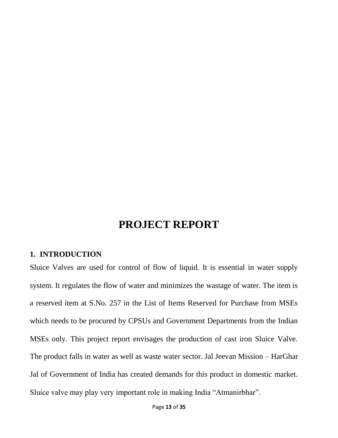## **PROJECT REPORT**

#### **1. INTRODUCTION**

Sluice Valves are used for control of flow of liquid. It is essential in water supply system. It regulates the flow of water and minimizes the wastage of water. The item is a reserved item at S.No. 257 in the List of Items Reserved for Purchase from MSEs which needs to be procured by CPSUs and Government Departments from the Indian MSEs only. This project report envisages the production of cast iron Sluice Valve. The product falls in water as well as waste water sector. Jal Jeevan Mission – HarGhar Jal of Government of India has created demands for this product in domestic market. Sluice valve may play very important role in making India "Atmanirbhar".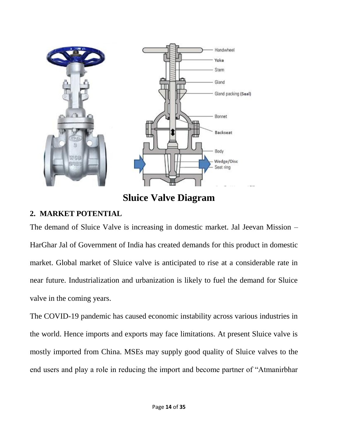

**Sluice Valve Diagram**

#### **2. MARKET POTENTIAL**

The demand of Sluice Valve is increasing in domestic market. Jal Jeevan Mission – HarGhar Jal of Government of India has created demands for this product in domestic market. Global market of Sluice valve is anticipated to rise at a considerable rate in near future. Industrialization and urbanization is likely to fuel the demand for Sluice valve in the coming years.

The COVID-19 pandemic has caused economic instability across various industries in the world. Hence imports and exports may face limitations. At present Sluice valve is mostly imported from China. MSEs may supply good quality of Sluice valves to the end users and play a role in reducing the import and become partner of "Atmanirbhar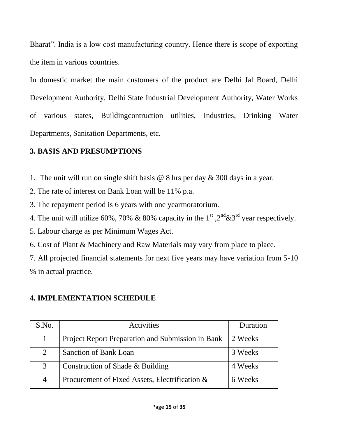Bharat". India is a low cost manufacturing country. Hence there is scope of exporting the item in various countries.

In domestic market the main customers of the product are Delhi Jal Board, Delhi Development Authority, Delhi State Industrial Development Authority, Water Works of various states, Buildingcontruction utilities, Industries, Drinking Water Departments, Sanitation Departments, etc.

#### **3. BASIS AND PRESUMPTIONS**

- 1. The unit will run on single shift basis @ 8 hrs per day & 300 days in a year.
- 2. The rate of interest on Bank Loan will be 11% p.a.
- 3. The repayment period is 6 years with one yearmoratorium.
- 4. The unit will utilize 60%, 70% & 80% capacity in the 1<sup>st</sup>,  $2^{nd}$ &3<sup>rd</sup> year respectively.
- 5. Labour charge as per Minimum Wages Act.
- 6. Cost of Plant & Machinery and Raw Materials may vary from place to place.
- 7. All projected financial statements for next five years may have variation from 5-10 % in actual practice.

#### **4. IMPLEMENTATION SCHEDULE**

| S.No. | Activities                                        | Duration |
|-------|---------------------------------------------------|----------|
|       | Project Report Preparation and Submission in Bank | 2 Weeks  |
| 2     | Sanction of Bank Loan                             | 3 Weeks  |
| 3     | Construction of Shade & Building                  | 4 Weeks  |
| 4     | Procurement of Fixed Assets, Electrification &    | 6 Weeks  |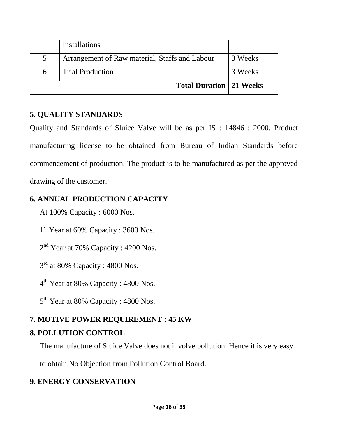|   | <b>Installations</b>                           |         |
|---|------------------------------------------------|---------|
| 5 | Arrangement of Raw material, Staffs and Labour | 3 Weeks |
| 6 | <b>Trial Production</b>                        | 3 Weeks |
|   | <b>Total Duration   21 Weeks</b>               |         |

#### **5. QUALITY STANDARDS**

Quality and Standards of Sluice Valve will be as per IS : 14846 : 2000. Product manufacturing license to be obtained from Bureau of Indian Standards before commencement of production. The product is to be manufactured as per the approved drawing of the customer.

#### **6. ANNUAL PRODUCTION CAPACITY**

At 100% Capacity : 6000 Nos.

1<sup>st</sup> Year at 60% Capacity : 3600 Nos.

 $2<sup>nd</sup>$  Year at 70% Capacity : 4200 Nos.

 $3<sup>rd</sup>$  at 80% Capacity : 4800 Nos.

4<sup>th</sup> Year at 80% Capacity : 4800 Nos.

5<sup>th</sup> Year at 80% Capacity : 4800 Nos.

#### **7. MOTIVE POWER REQUIREMENT : 45 KW**

#### **8. POLLUTION CONTROL**

The manufacture of Sluice Valve does not involve pollution. Hence it is very easy

to obtain No Objection from Pollution Control Board.

#### **9. ENERGY CONSERVATION**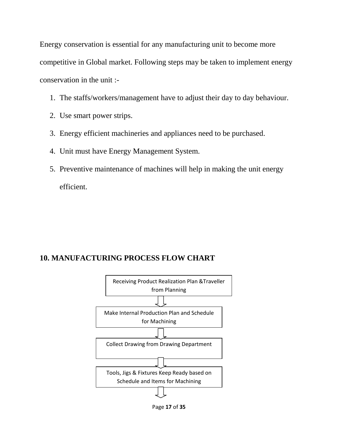Energy conservation is essential for any manufacturing unit to become more competitive in Global market. Following steps may be taken to implement energy conservation in the unit :-

- 1. The staffs/workers/management have to adjust their day to day behaviour.
- 2. Use smart power strips.
- 3. Energy efficient machineries and appliances need to be purchased.
- 4. Unit must have Energy Management System.
- 5. Preventive maintenance of machines will help in making the unit energy efficient.

#### **10. MANUFACTURING PROCESS FLOW CHART**



Page **17** of **35**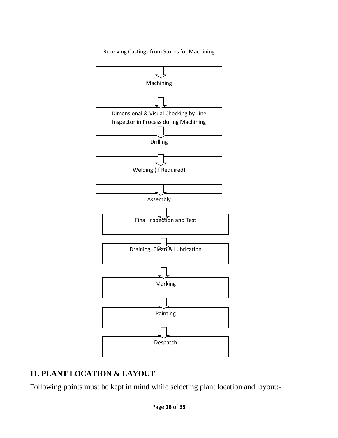

#### **11. PLANT LOCATION & LAYOUT**

Following points must be kept in mind while selecting plant location and layout:-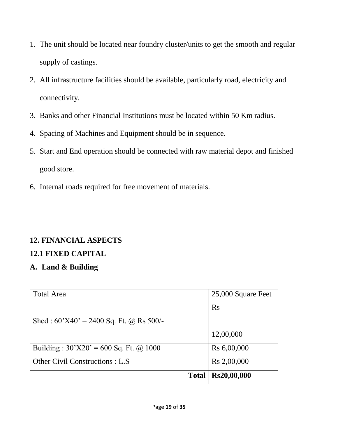- 1. The unit should be located near foundry cluster/units to get the smooth and regular supply of castings.
- 2. All infrastructure facilities should be available, particularly road, electricity and connectivity.
- 3. Banks and other Financial Institutions must be located within 50 Km radius.
- 4. Spacing of Machines and Equipment should be in sequence.
- 5. Start and End operation should be connected with raw material depot and finished good store.
- 6. Internal roads required for free movement of materials.

## **12. FINANCIAL ASPECTS**

## **12.1 FIXED CAPITAL**

## **A. Land & Building**

| <b>Total Area</b>                         | 25,000 Square Feet      |
|-------------------------------------------|-------------------------|
|                                           | Rs                      |
| Shed: $60'X40' = 2400$ Sq. Ft. @ Rs 500/- |                         |
|                                           | 12,00,000               |
| Building: $30'X20' = 600$ Sq. Ft. @ 1000  | R <sub>s</sub> 6,00,000 |
| Other Civil Constructions : L.S           | Rs 2,00,000             |
| <b>Total</b>                              | Rs20,00,000             |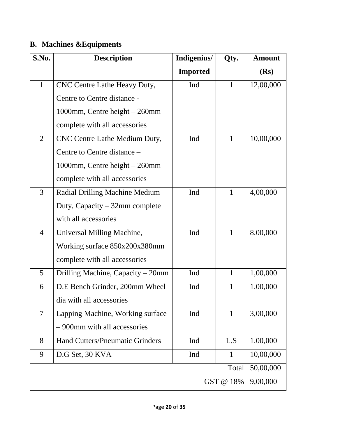## **B. Machines &Equipments**

| S.No.          | <b>Description</b>                     | Indigenius/     | Qty.         | <b>Amount</b> |
|----------------|----------------------------------------|-----------------|--------------|---------------|
|                |                                        | <b>Imported</b> |              | (Rs)          |
| $\mathbf{1}$   | CNC Centre Lathe Heavy Duty,           | Ind             | $\mathbf{1}$ | 12,00,000     |
|                | Centre to Centre distance -            |                 |              |               |
|                | 1000mm, Centre height – 260mm          |                 |              |               |
|                | complete with all accessories          |                 |              |               |
| $\overline{2}$ | CNC Centre Lathe Medium Duty,          | Ind             | $\mathbf{1}$ | 10,00,000     |
|                | Centre to Centre distance -            |                 |              |               |
|                | 1000mm, Centre height - 260mm          |                 |              |               |
|                | complete with all accessories          |                 |              |               |
| $\overline{3}$ | Radial Drilling Machine Medium         | Ind             | 1            | 4,00,000      |
|                | Duty, Capacity $-32$ mm complete       |                 |              |               |
|                | with all accessories                   |                 |              |               |
| 4              | Universal Milling Machine,             | Ind             | 1            | 8,00,000      |
|                | Working surface 850x200x380mm          |                 |              |               |
|                | complete with all accessories          |                 |              |               |
| 5              | Drilling Machine, Capacity – 20mm      | Ind             | $\mathbf{1}$ | 1,00,000      |
| 6              | D.E Bench Grinder, 200mm Wheel         | Ind             | $\mathbf{1}$ | 1,00,000      |
|                | dia with all accessories               |                 |              |               |
| $\overline{7}$ | Lapping Machine, Working surface       | Ind             | $\mathbf{1}$ | 3,00,000      |
|                | - 900mm with all accessories           |                 |              |               |
| 8              | <b>Hand Cutters/Pneumatic Grinders</b> | Ind             | L.S          | 1,00,000      |
| 9              | D.G Set, 30 KVA                        | Ind             | $\mathbf{1}$ | 10,00,000     |
|                |                                        |                 | Total        | 50,00,000     |
|                |                                        |                 | GST @ 18%    | 9,00,000      |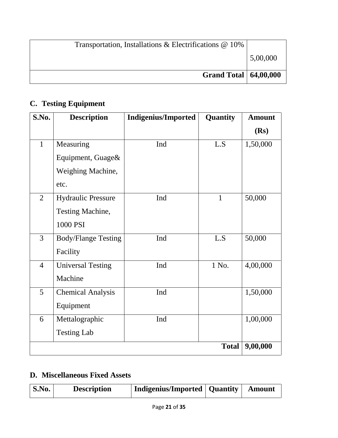| Transportation, Installations & Electrifications @ 10% |          |
|--------------------------------------------------------|----------|
|                                                        | 5,00,000 |
| <b>Grand Total   64,00,000</b>                         |          |

## **C. Testing Equipment**

| S.No.          | <b>Description</b>         | <b>Indigenius/Imported</b> | Quantity     | <b>Amount</b> |
|----------------|----------------------------|----------------------------|--------------|---------------|
|                |                            |                            |              | (Rs)          |
| $\mathbf{1}$   | Measuring                  | Ind                        | L.S          | 1,50,000      |
|                | Equipment, Guage&          |                            |              |               |
|                | Weighing Machine,          |                            |              |               |
|                | etc.                       |                            |              |               |
| $\overline{2}$ | Hydraulic Pressure         | Ind                        | $\mathbf{1}$ | 50,000        |
|                | <b>Testing Machine,</b>    |                            |              |               |
|                | 1000 PSI                   |                            |              |               |
| $\overline{3}$ | <b>Body/Flange Testing</b> | Ind                        | L.S          | 50,000        |
|                | Facility                   |                            |              |               |
| $\overline{4}$ | <b>Universal Testing</b>   | Ind                        | 1 No.        | 4,00,000      |
|                | Machine                    |                            |              |               |
| 5              | <b>Chemical Analysis</b>   | Ind                        |              | 1,50,000      |
|                | Equipment                  |                            |              |               |
| 6              | Mettalographic             | Ind                        |              | 1,00,000      |
|                | <b>Testing Lab</b>         |                            |              |               |
|                |                            |                            | <b>Total</b> | 9,00,000      |

## **D. Miscellaneous Fixed Assets**

| Indigenius/Imported   Quantity   Amount<br>S.No.<br><b>Description</b> |
|------------------------------------------------------------------------|
|------------------------------------------------------------------------|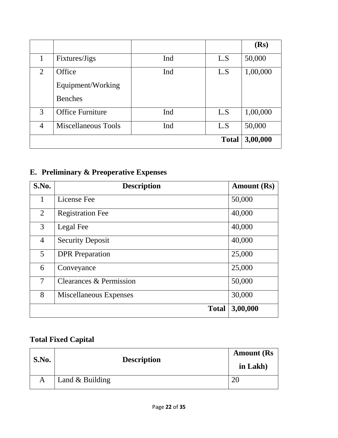|                |                         |     |              | (Rs)     |
|----------------|-------------------------|-----|--------------|----------|
|                | Fixtures/Jigs           | Ind | L.S          | 50,000   |
| 2              | Office                  | Ind | L.S          | 1,00,000 |
|                | Equipment/Working       |     |              |          |
|                | <b>Benches</b>          |     |              |          |
| 3              | <b>Office Furniture</b> | Ind | L.S          | 1,00,000 |
| $\overline{4}$ | Miscellaneous Tools     | Ind | L.S          | 50,000   |
|                |                         |     | <b>Total</b> | 3,00,000 |

## **E. Preliminary & Preoperative Expenses**

| S.No.          | <b>Description</b>      | <b>Amount</b> (Rs) |
|----------------|-------------------------|--------------------|
| 1              | License Fee             | 50,000             |
| $\overline{2}$ | <b>Registration Fee</b> | 40,000             |
| $\overline{3}$ | Legal Fee               | 40,000             |
| $\overline{4}$ | <b>Security Deposit</b> | 40,000             |
| 5 <sup>5</sup> | <b>DPR</b> Preparation  | 25,000             |
| 6              | Conveyance              | 25,000             |
| 7              | Clearances & Permission | 50,000             |
| 8              | Miscellaneous Expenses  | 30,000             |
|                | <b>Total</b>            | 3,00,000           |

## **Total Fixed Capital**

| S.No. | <b>Description</b> | <b>Amount</b> (Rs)<br>in Lakh) |
|-------|--------------------|--------------------------------|
|       | Land $&$ Building  |                                |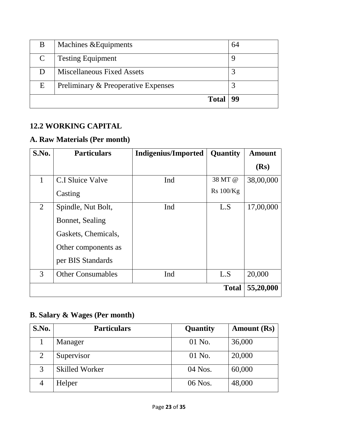| B             | Machines & Equipments               | 64 |
|---------------|-------------------------------------|----|
| $\mathcal{C}$ | <b>Testing Equipment</b>            |    |
|               | <b>Miscellaneous Fixed Assets</b>   |    |
| E             | Preliminary & Preoperative Expenses |    |
|               | <b>Total</b>                        | 99 |

#### **12.2 WORKING CAPITAL**

#### **A. Raw Materials (Per month)**

| S.No. | <b>Particulars</b>       | <b>Indigenius/Imported</b> | Quantity     | <b>Amount</b> |
|-------|--------------------------|----------------------------|--------------|---------------|
|       |                          |                            |              | (Rs)          |
| 1     | C.I Sluice Valve         | Ind                        | 38 MT @      | 38,00,000     |
|       | Casting                  |                            | Rs 100/Kg    |               |
| 2     | Spindle, Nut Bolt,       | Ind                        | L.S          | 17,00,000     |
|       | Bonnet, Sealing          |                            |              |               |
|       | Gaskets, Chemicals,      |                            |              |               |
|       | Other components as      |                            |              |               |
|       | per BIS Standards        |                            |              |               |
| 3     | <b>Other Consumables</b> | Ind                        | L.S          | 20,000        |
|       |                          |                            | <b>Total</b> | 55,20,000     |

## **B. Salary & Wages (Per month)**

| S.No. | <b>Particulars</b>    | Quantity  | <b>Amount</b> (Rs) |
|-------|-----------------------|-----------|--------------------|
|       | Manager               | $01$ No.  | 36,000             |
| 2     | Supervisor            | $01$ No.  | 20,000             |
| 3     | <b>Skilled Worker</b> | $04$ Nos. | 60,000             |
|       | Helper                | 06 Nos.   | 48,000             |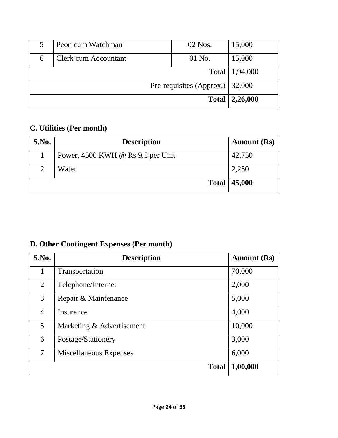|                                    | Peon cum Watchman    | $02$ Nos. | 15,000           |
|------------------------------------|----------------------|-----------|------------------|
| 6                                  | Clerk cum Accountant | 01 No.    | 15,000           |
|                                    |                      |           | Total   1,94,000 |
| Pre-requisites (Approx.) $ 32,000$ |                      |           |                  |
| <b>Total</b>                       |                      | 2,26,000  |                  |

## **C. Utilities (Per month)**

| S.No.         | <b>Description</b>                | <b>Amount</b> (Rs) |
|---------------|-----------------------------------|--------------------|
|               | Power, 4500 KWH @ Rs 9.5 per Unit | 42,750             |
| $\mathcal{D}$ | Water                             | 2,250              |
|               | <b>Total</b>                      | 45,000             |

## **D. Other Contingent Expenses (Per month)**

| S.No.          | <b>Description</b>        | <b>Amount</b> (Rs) |
|----------------|---------------------------|--------------------|
|                | Transportation            | 70,000             |
| $\overline{2}$ | Telephone/Internet        | 2,000              |
| 3              | Repair & Maintenance      | 5,000              |
| 4              | Insurance                 | 4,000              |
| 5              | Marketing & Advertisement | 10,000             |
| 6              | Postage/Stationery        | 3,000              |
| 7              | Miscellaneous Expenses    | 6,000              |
|                | <b>Total</b>              | 1,00,000           |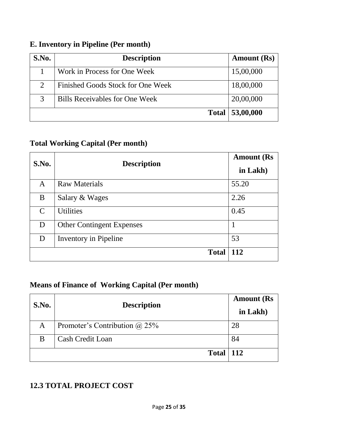## **E. Inventory in Pipeline (Per month)**

| S.No.                       | <b>Description</b>                | <b>Amount</b> (Rs) |
|-----------------------------|-----------------------------------|--------------------|
|                             | Work in Process for One Week      | 15,00,000          |
| $\mathcal{D}_{\mathcal{L}}$ | Finished Goods Stock for One Week | 18,00,000          |
| $\mathcal{R}$               | Bills Receivables for One Week    | 20,00,000          |
|                             | <b>Total</b>                      | 53,00,000          |

#### **Total Working Capital (Per month)**

| <b>S.No.</b>  | <b>Description</b>               | <b>Amount (Rs</b><br>in Lakh) |
|---------------|----------------------------------|-------------------------------|
| A             | <b>Raw Materials</b>             | 55.20                         |
| B             | Salary & Wages                   | 2.26                          |
| $\mathcal{C}$ | <b>Utilities</b>                 | 0.45                          |
| D             | <b>Other Contingent Expenses</b> |                               |
| D             | Inventory in Pipeline            | 53                            |
|               | <b>Total</b>                     | 112                           |

## **Means of Finance of Working Capital (Per month)**

| S.No. | <b>Description</b>                   | <b>Amount</b> (Rs<br>in Lakh) |
|-------|--------------------------------------|-------------------------------|
| A     | Promoter's Contribution $\omega$ 25% | 28                            |
| B     | <b>Cash Credit Loan</b>              | 84                            |
|       | <b>Total</b>                         | <b>112</b>                    |

#### **12.3 TOTAL PROJECT COST**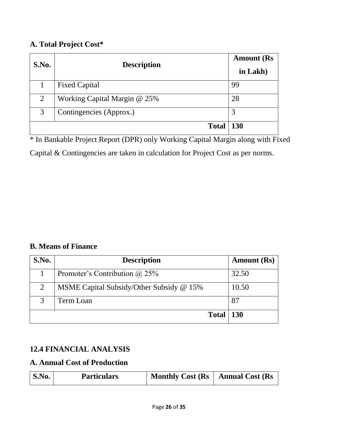#### **A. Total Project Cost\***

| S.No. | <b>Description</b>           | <b>Amount</b> (Rs<br>in Lakh) |
|-------|------------------------------|-------------------------------|
|       | <b>Fixed Capital</b>         | 99                            |
| 2     | Working Capital Margin @ 25% | 28                            |
| 3     | Contingencies (Approx.)      | 3                             |
|       | <b>Total</b>                 | <b>130</b>                    |

\* In Bankable Project Report (DPR) only Working Capital Margin along with Fixed Capital & Contingencies are taken in calculation for Project Cost as per norms.

#### **B. Means of Finance**

| S.No.          | <b>Description</b>                       |            |  |  |
|----------------|------------------------------------------|------------|--|--|
|                | Promoter's Contribution $(a)$ 25%        | 32.50      |  |  |
| $\overline{2}$ | MSME Capital Subsidy/Other Subsidy @ 15% | 10.50      |  |  |
| 3              | Term Loan                                | 87         |  |  |
|                | <b>Total</b>                             | <b>130</b> |  |  |

#### **12.4 FINANCIAL ANALYSIS**

#### **A. Annual Cost of Production**

| S.No.<br><b>Particulars</b> | Monthly Cost $(Rs   Annual Cost (Rs$ |  |
|-----------------------------|--------------------------------------|--|
|-----------------------------|--------------------------------------|--|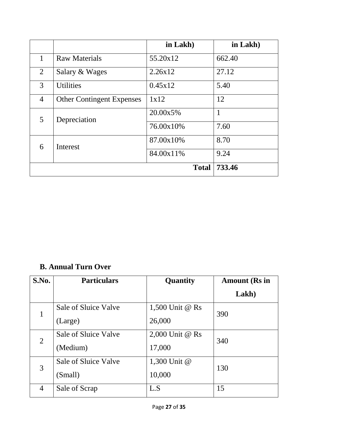|                |                                  | in Lakh)           | in Lakh) |
|----------------|----------------------------------|--------------------|----------|
| 1              | <b>Raw Materials</b>             | 55.20x12           | 662.40   |
| $\overline{2}$ | Salary & Wages                   | 2.26x12            | 27.12    |
| 3              | <b>Utilities</b>                 | 0.45x12            | 5.40     |
| $\overline{4}$ | <b>Other Contingent Expenses</b> | 1x12               | 12       |
| 5              | Depreciation                     | 20.00x5%           | 1        |
|                |                                  | 76.00x10\%<br>7.60 |          |
| 6              | <b>Interest</b>                  | 87.00x10%          | 8.70     |
|                |                                  | 84.00x11%          | 9.24     |
|                |                                  | <b>Total</b>       | 733.46   |

## **B. Annual Turn Over**

| <b>S.No.</b>   | <b>Particulars</b>   | Quantity        | <b>Amount (Rs in</b> |  |
|----------------|----------------------|-----------------|----------------------|--|
|                |                      |                 | Lakh)                |  |
| 1              | Sale of Sluice Valve | 1,500 Unit @ Rs |                      |  |
|                | (Large)              | 26,000          | 390                  |  |
| $\overline{2}$ | Sale of Sluice Valve | 2,000 Unit @ Rs | 340                  |  |
|                | (Medium)             | 17,000          |                      |  |
| 3              | Sale of Sluice Valve | 1,300 Unit @    | 130                  |  |
|                | (Small)              | 10,000          |                      |  |
| 4              | Sale of Scrap        | L.S             | 15                   |  |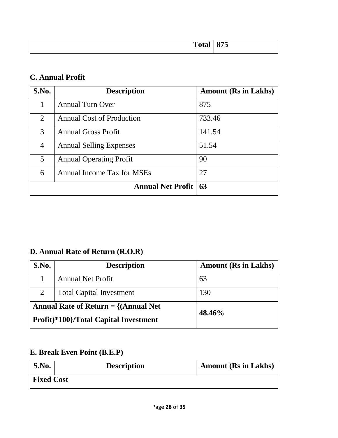| Total<br>1 Juan | 875 |
|-----------------|-----|
|                 |     |

#### **C. Annual Profit**

| S.No.          | <b>Description</b>               | <b>Amount (Rs in Lakhs)</b> |
|----------------|----------------------------------|-----------------------------|
| 1              | <b>Annual Turn Over</b>          | 875                         |
| $\overline{2}$ | <b>Annual Cost of Production</b> | 733.46                      |
| 3              | <b>Annual Gross Profit</b>       | 141.54                      |
| 4              | <b>Annual Selling Expenses</b>   | 51.54                       |
| 5              | <b>Annual Operating Profit</b>   | 90                          |
| 6              | Annual Income Tax for MSEs       | 27                          |
|                | <b>Annual Net Profit</b>         | 63                          |

## **D. Annual Rate of Return (R.O.R)**

| S.No.                                                                                      | <b>Description</b>              | <b>Amount (Rs in Lakhs)</b> |
|--------------------------------------------------------------------------------------------|---------------------------------|-----------------------------|
|                                                                                            | <b>Annual Net Profit</b>        | 63                          |
| 2                                                                                          | <b>Total Capital Investment</b> | 130                         |
| Annual Rate of Return $= \{(\text{Annual Net})\}$<br>Profit)*100}/Total Capital Investment |                                 | 48.46%                      |

## **E. Break Even Point (B.E.P)**

| S.No.             | <b>Description</b> | <b>Amount (Rs in Lakhs)</b> |
|-------------------|--------------------|-----------------------------|
| <b>Fixed Cost</b> |                    |                             |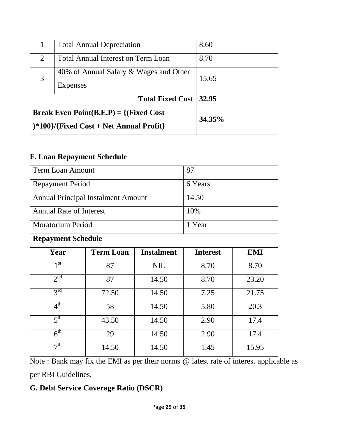|                                                                                                         | <b>Total Annual Depreciation</b>                   | 8.60   |
|---------------------------------------------------------------------------------------------------------|----------------------------------------------------|--------|
| 2                                                                                                       | <b>Total Annual Interest on Term Loan</b>          | 8.70   |
| 3                                                                                                       | 40% of Annual Salary & Wages and Other<br>Expenses | 15.65  |
|                                                                                                         | Total Fixed Cost   32.95                           |        |
| <b>Break Even Point(B.E.P)</b> = $\{(\text{Fixed Cost})\}$<br>$*100$ / {Fixed Cost + Net Annual Profit} |                                                    | 34.35% |

#### **F. Loan Repayment Schedule**

| <b>Term Loan Amount</b>                   |                  |                   | 87      |                               |  |
|-------------------------------------------|------------------|-------------------|---------|-------------------------------|--|
| <b>Repayment Period</b>                   |                  |                   | 6 Years |                               |  |
| <b>Annual Principal Instalment Amount</b> |                  |                   | 14.50   |                               |  |
| <b>Annual Rate of Interest</b>            |                  |                   | 10%     |                               |  |
| <b>Moratorium Period</b>                  |                  |                   | 1 Year  | <b>EMI</b><br><b>Interest</b> |  |
| <b>Repayment Schedule</b>                 |                  |                   |         |                               |  |
| Year                                      | <b>Term Loan</b> | <b>Instalment</b> |         |                               |  |
| 1 <sup>st</sup>                           | 87               | <b>NIL</b>        | 8.70    | 8.70                          |  |
| 2 <sup>nd</sup>                           | 87               | 14.50             | 8.70    | 23.20                         |  |
| 3 <sup>rd</sup>                           | 72.50            | 14.50             | 7.25    | 21.75                         |  |
| $4^{\text{th}}$                           | 58               | 14.50             | 5.80    | 20.3                          |  |
| 5 <sup>th</sup>                           | 43.50            | 14.50             | 2.90    | 17.4                          |  |
| 6 <sup>th</sup>                           | 29               | 14.50             | 2.90    | 17.4                          |  |
| 7 <sup>th</sup>                           | 14.50            | 14.50             | 1.45    | 15.95                         |  |

Note : Bank may fix the EMI as per their norms @ latest rate of interest applicable as per RBI Guidelines.

#### **G. Debt Service Coverage Ratio (DSCR)**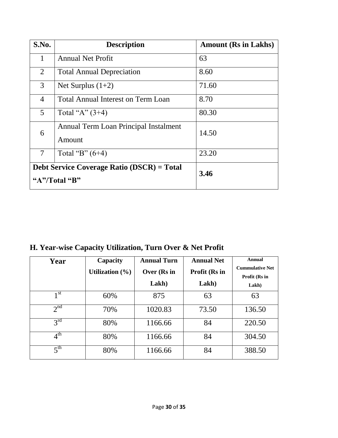| S.No.          | <b>Description</b>                                          | <b>Amount (Rs in Lakhs)</b> |
|----------------|-------------------------------------------------------------|-----------------------------|
| 1              | <b>Annual Net Profit</b>                                    | 63                          |
| 2              | <b>Total Annual Depreciation</b>                            | 8.60                        |
| 3              | Net Surplus $(1+2)$                                         | 71.60                       |
| $\overline{4}$ | <b>Total Annual Interest on Term Loan</b>                   | 8.70                        |
| 5              | Total "A" $(3+4)$                                           | 80.30                       |
| 6              | Annual Term Loan Principal Instalment<br>Amount             | 14.50                       |
| $\tau$         | Total "B" $(6+4)$                                           | 23.20                       |
|                | Debt Service Coverage Ratio (DSCR) = Total<br>"A"/Total "B" | 3.46                        |

**H. Year-wise Capacity Utilization, Turn Over & Net Profit** 

| Year            | Capacity            | <b>Annual Turn</b> | <b>Annual Net</b> | <b>Annual</b>          |
|-----------------|---------------------|--------------------|-------------------|------------------------|
|                 | Utilization $(\% )$ | Over (Rs in        | Profit (Rs in     | <b>Cummulative Net</b> |
|                 |                     |                    |                   | Profit (Rs in          |
|                 |                     | Lakh)              | Lakh)             | Lakh)                  |
| 1 <sup>st</sup> | 60%                 | 875                | 63                | 63                     |
| 2 <sup>nd</sup> | 70%                 | 1020.83            | 73.50             | 136.50                 |
| $3^{\text{rd}}$ | 80%                 | 1166.66            | 84                | 220.50                 |
| $4^{\text{th}}$ | 80%                 | 1166.66            | 84                | 304.50                 |
| 5 <sup>th</sup> | 80%                 | 1166.66            | 84                | 388.50                 |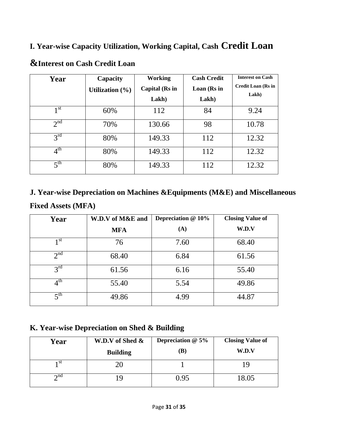#### **I. Year-wise Capacity Utilization, Working Capital, Cash Credit Loan**

| Year            | Capacity            | <b>Working</b>          | <b>Cash Credit</b>   | <b>Interest on Cash</b>            |
|-----------------|---------------------|-------------------------|----------------------|------------------------------------|
|                 | Utilization $(\% )$ | Capital (Rs in<br>Lakh) | Loan (Rs in<br>Lakh) | <b>Credit Loan (Rs in</b><br>Lakh) |
| 1 <sup>st</sup> | 60%                 | 112                     | 84                   | 9.24                               |
| 2 <sup>nd</sup> | 70%                 | 130.66                  | 98                   | 10.78                              |
| $3^{\text{rd}}$ | 80%                 | 149.33                  | 112                  | 12.32                              |
| 4 <sup>th</sup> | 80%                 | 149.33                  | 112                  | 12.32                              |
| 5 <sup>th</sup> | 80%                 | 149.33                  | 112                  | 12.32                              |

## **&Interest on Cash Credit Loan**

## **J. Year-wise Depreciation on Machines &Equipments (M&E) and Miscellaneous Fixed Assets (MFA)**

| Year                  | W.D.V of M&E and | Depreciation @ 10% | <b>Closing Value of</b> |
|-----------------------|------------------|--------------------|-------------------------|
|                       | <b>MFA</b>       | (A)                | W.D.V                   |
| 1 <sup>st</sup>       | 76               | 7.60               | 68.40                   |
| 2 <sup>nd</sup>       | 68.40            | 6.84               | 61.56                   |
| $3^{\text{rd}}$       | 61.56            | 6.16               | 55.40                   |
| $4^{\text{th}}$       | 55.40            | 5.54               | 49.86                   |
| $\zeta$ <sup>th</sup> | 49.86            | 4.99               | 44.87                   |

#### **K. Year-wise Depreciation on Shed & Building**

| Year        | W.D.V of Shed &<br><b>Building</b> | Depreciation $@5\%$<br>(B) | <b>Closing Value of</b><br>W.D.V |
|-------------|------------------------------------|----------------------------|----------------------------------|
| -st         |                                    |                            |                                  |
| $\gamma$ nd |                                    | 0.95                       | 18.05                            |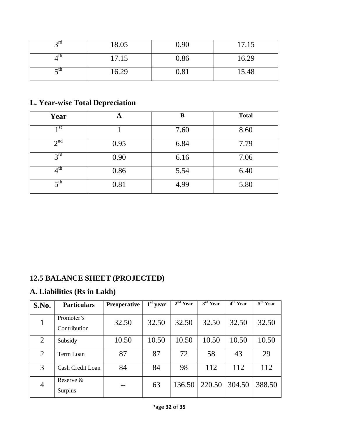| $2^{\text{rd}}$ | 18.05 | 0.90 | 17.15 |
|-----------------|-------|------|-------|
| u               | 17.15 | 0.86 | 16.29 |
| – tn            | 16.29 | 0.81 | 15.48 |

## **L. Year-wise Total Depreciation**

| Year              | А    | B    | <b>Total</b> |
|-------------------|------|------|--------------|
| 1 <sub>st</sub>   |      | 7.60 | 8.60         |
| 2 <sup>nd</sup>   | 0.95 | 6.84 | 7.79         |
| $3^{\text{rd}}$   | 0.90 | 6.16 | 7.06         |
| $4^{\text{th}}$   | 0.86 | 5.54 | 6.40         |
| $5$ <sup>th</sup> | 0.81 | 4.99 | 5.80         |

## **12.5 BALANCE SHEET (PROJECTED)**

#### **A. Liabilities (Rs in Lakh)**

| S.No.          | <b>Particulars</b>         | <b>Preoperative</b> | $1st$ year | $2nd$ Year | $\overline{3}^{\rm rd}$ Year | $\overline{4^{th}}$ Year | $\overline{5^{th} \text{Year}}$ |
|----------------|----------------------------|---------------------|------------|------------|------------------------------|--------------------------|---------------------------------|
| $\mathbf{1}$   | Promoter's<br>Contribution | 32.50               | 32.50      | 32.50      | 32.50                        | 32.50                    | 32.50                           |
| 2              | Subsidy                    | 10.50               | 10.50      | 10.50      | 10.50                        | 10.50                    | 10.50                           |
| $\overline{2}$ | Term Loan                  | 87                  | 87         | 72         | 58                           | 43                       | 29                              |
| 3              | Cash Credit Loan           | 84                  | 84         | 98         | 112                          | 112                      | 112                             |
| $\overline{4}$ | Reserve $\&$<br>Surplus    |                     | 63         | 136.50     | 220.50                       | 304.50                   | 388.50                          |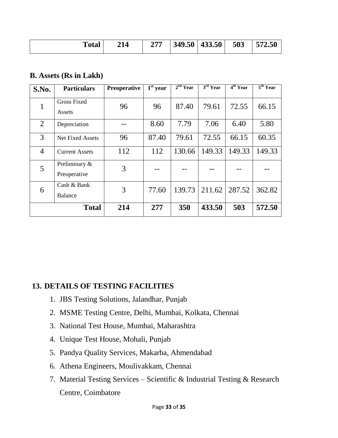| `otal | 14 | $\bigcap$ | 349.50 | 433.50 | 503 | 572.50 |
|-------|----|-----------|--------|--------|-----|--------|
|-------|----|-----------|--------|--------|-----|--------|

#### **B. Assets (Rs in Lakh)**

| S.No.          | <b>Particulars</b>            | <b>Preoperative</b> | $\overline{1}^{\rm st}$ year | $2nd$ Year | 3 <sup>rd</sup> Year | 4 <sup>th</sup> Year | 5 <sup>th</sup> Year |
|----------------|-------------------------------|---------------------|------------------------------|------------|----------------------|----------------------|----------------------|
| 1              | <b>Gross Fixed</b><br>Assets  | 96                  | 96                           | 87.40      | 79.61                | 72.55                | 66.15                |
| 2              | Depreciation                  |                     | 8.60                         | 7.79       | 7.06                 | 6.40                 | 5.80                 |
| 3              | <b>Net Fixed Assets</b>       | 96                  | 87.40                        | 79.61      | 72.55                | 66.15                | 60.35                |
| $\overline{4}$ | <b>Current Assets</b>         | 112                 | 112                          | 130.66     | 149.33               | 149.33               | 149.33               |
| 5              | Preliminary &<br>Preoperative | 3                   |                              |            |                      |                      |                      |
| 6              | Cash & Bank<br><b>Balance</b> | 3                   | 77.60                        | 139.73     | 211.62               | 287.52               | 362.82               |
|                | <b>Total</b>                  | 214                 | 277                          | 350        | 433.50               | 503                  | 572.50               |

#### **13. DETAILS OF TESTING FACILITIES**

- 1. JBS Testing Solutions, Jalandhar, Punjab
- 2. MSME Testing Centre, Delhi, Mumbai, Kolkata, Chennai
- 3. National Test House, Mumbai, Maharashtra
- 4. Unique Test House, Mohali, Punjab
- 5. Pandya Quality Services, Makarba, Ahmendabad
- 6. Athena Engineers, Moulivakkam, Chennai
- 7. Material Testing Services Scientific & Industrial Testing & Research Centre, Coimbatore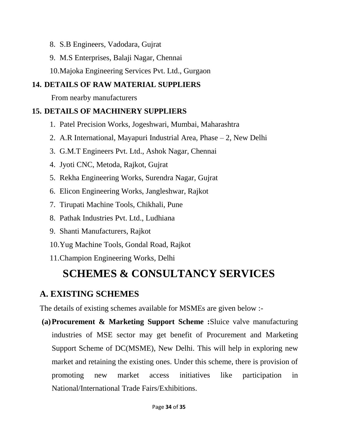- 8. S.B Engineers, Vadodara, Gujrat
- 9. M.S Enterprises, Balaji Nagar, Chennai
- 10.Majoka Engineering Services Pvt. Ltd., Gurgaon

#### **14. DETAILS OF RAW MATERIAL SUPPLIERS**

From nearby manufacturers

#### **15. DETAILS OF MACHINERY SUPPLIERS**

- 1. Patel Precision Works, Jogeshwari, Mumbai, Maharashtra
- 2. A.R International, Mayapuri Industrial Area, Phase 2, New Delhi
- 3. G.M.T Engineers Pvt. Ltd., Ashok Nagar, Chennai
- 4. Jyoti CNC, Metoda, Rajkot, Gujrat
- 5. Rekha Engineering Works, Surendra Nagar, Gujrat
- 6. Elicon Engineering Works, Jangleshwar, Rajkot
- 7. Tirupati Machine Tools, Chikhali, Pune
- 8. Pathak Industries Pvt. Ltd., Ludhiana
- 9. Shanti Manufacturers, Rajkot
- 10.Yug Machine Tools, Gondal Road, Rajkot
- 11.Champion Engineering Works, Delhi

## **SCHEMES & CONSULTANCY SERVICES**

## **A. EXISTING SCHEMES**

The details of existing schemes available for MSMEs are given below :-

**(a)Procurement & Marketing Support Scheme :**Sluice valve manufacturing industries of MSE sector may get benefit of Procurement and Marketing Support Scheme of DC(MSME), New Delhi. This will help in exploring new market and retaining the existing ones. Under this scheme, there is provision of promoting new market access initiatives like participation in National/International Trade Fairs/Exhibitions.